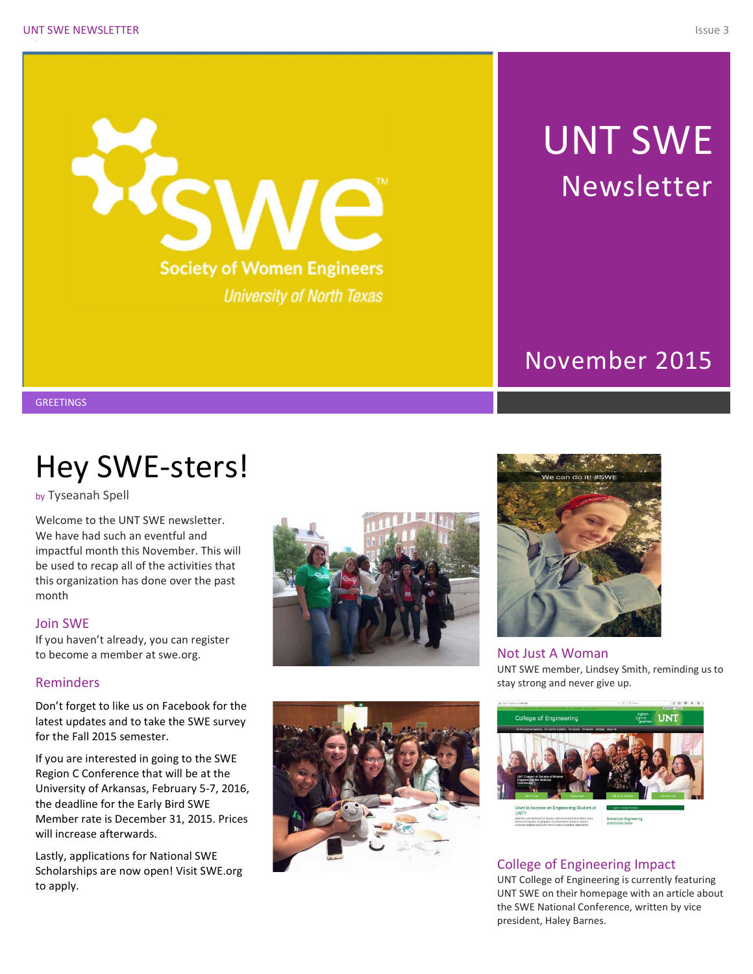

# UNT SWE Newsletter

## November 2015

**GREETINGS** 

# Hey SWE-sters!

by Tyseanah Spell

Welcome to the UNT SWE newsletter. We have had such an eventful and impactful month this November. This will be used to recap all of the activities that this organization has done over the past month

#### Join SWE

If you haven't already, you can register to become a member at swe.org.

#### Reminders

Don't forget to like us on Facebook for the latest updates and to take the SWE survey for the Fall 2015 semester.

If you are interested in going to the SWE Region C Conference that will be at the University of Arkansas, February 5-7, 2016, the deadline for the Early Bird SWE Member rate is December 31, 2015. Prices will increase afterwards.

Lastly, applications for National SWE Scholarships are now open! Visit SWE.org to apply.





Not Just A Woman UNT SWE member, Lindsey Smith, reminding us to stay strong and never give up.



### College of Engineering Impact

UNT College of Engineering is currently featuring UNT SWE on their homepage with an article about the SWE National Conference, written by vice president, Haley Barnes.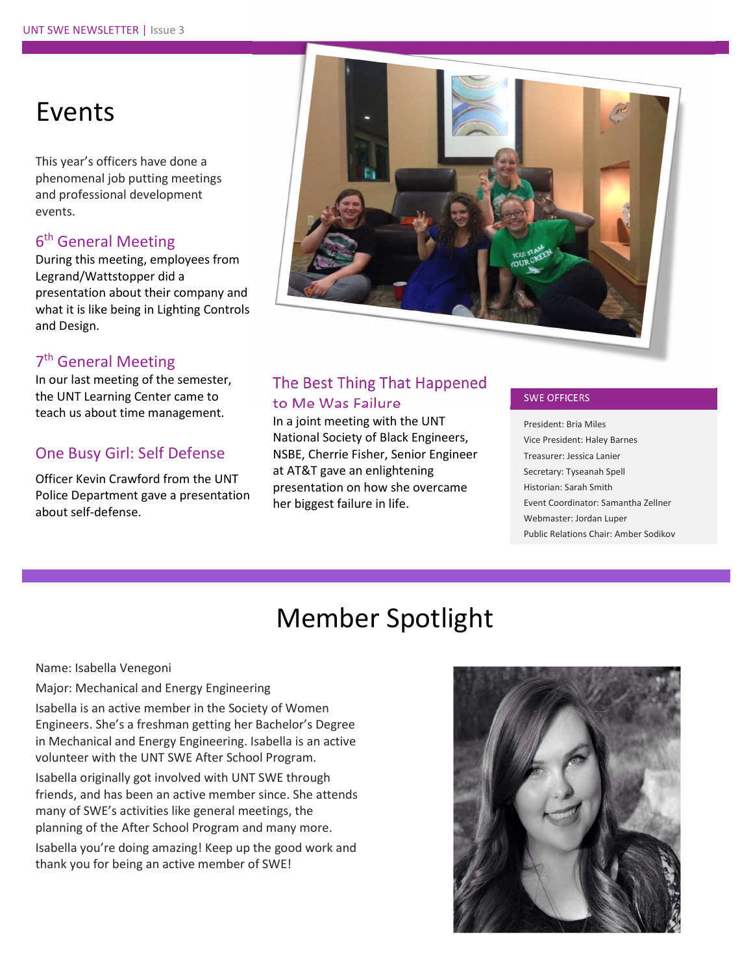## Events

This year's officers have done a phenomenal job putting meetings and professional development events.

### 6<sup>th</sup> General Meeting

During this meeting, employees from Legrand/Wattstopper did a presentation about their company and what it is like being in Lighting Controls and Design.

### 7<sup>th</sup> General Meeting

In our last meeting of the semester, the UNT Learning Center came to teach us about time management.

### One Busy Girl: Self Defense

Officer Kevin Crawford from the UNT Police Department gave a presentation about self-defense.



### The Best Thing That Happened to Me Was Failure

In a joint meeting with the UNT National Society of Black Engineers, NSBE, Cherrie Fisher, Senior Engineer at AT&T gave an enlightening presentation on how she overcame her biggest failure in life.

#### SWE OFFICERS

President: Bria Miles Vice President: Haley Barnes Treasurer: Jessica Lanier Secretary: Tyseanah Spell Historian: Sarah Smith Event Coordinator: Samantha Zellner Webmaster: Jordan Luper Public Relations Chair: Amber Sodikov

# Member Spotlight

Name: Isabella Venegoni

#### Major: Mechanical and Energy Engineering

Isabella is an active member in the Society of Women Engineers. She's a freshman getting her Bachelor's Degree in Mechanical and Energy Engineering. Isabella is an active volunteer with the UNT SWE After School Program.

Isabella originally got involved with UNT SWE through friends, and has been an active member since. She attends many of SWE's activities like general meetings, the planning of the After School Program and many more.

Isabella you're doing amazing! Keep up the good work and thank you for being an active member of SWE!